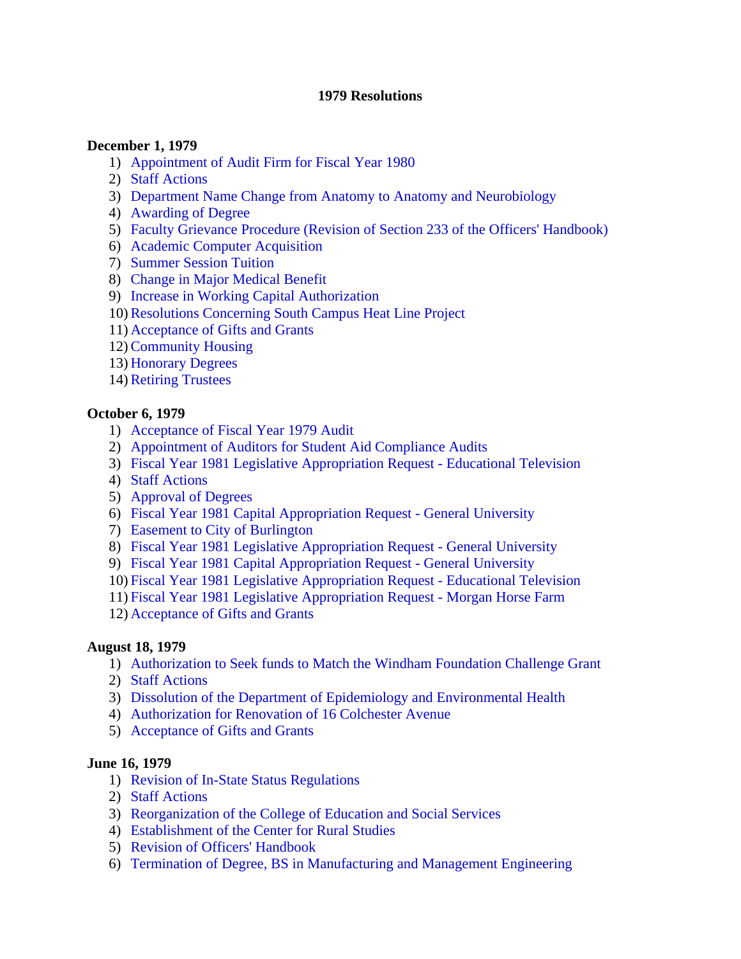#### **1979 Resolutions**

#### **December 1, 1979**

- 1) [Appointment of Audit Firm for Fiscal Year 1980](#page-3-0)
- 2) [Staff Actions](#page-3-0)
- 3) [Department Name Change from Anatomy to Anatomy and Neurobiology](#page-3-0)
- 4) [Awarding of Degree](#page-3-0)
- 5) [Faculty Grievance Procedure \(Revision of Section 233 of the Officers' Handbook\)](#page-3-0)
- 6) [Academic Computer Acquisition](#page-3-0)
- 7) [Summer Session Tuition](#page-4-0)
- 8) [Change in Major Medical Benefit](#page-4-0)
- 9) [Increase in Working Capital Authorization](#page-4-0)
- 10) [Resolutions Concerning South Campus Heat Line Project](#page-4-0)
- 11) [Acceptance of Gifts and Grants](#page-5-0)
- 12) [Community Housing](#page-5-0)
- 13) [Honorary Degrees](#page-5-0)
- 14) [Retiring Trustees](#page-5-0)

#### **October 6, 1979**

- 1) [Acceptance of Fiscal Year 1979 Audit](#page-6-0)
- 2) [Appointment of Auditors for Student Aid Compliance Audits](#page-6-0)
- 3) [Fiscal Year 1981 Legislative Appropriation Request Educational Television](#page-6-0)
- 4) [Staff Actions](#page-7-0)
- 5) [Approval of Degrees](#page-7-0)
- 6) [Fiscal Year 1981 Capital Appropriation Request General University](#page-7-0)
- 7) [Easement to City of Burlington](#page-8-0)
- 8) [Fiscal Year 1981 Legislative Appropriation Request General University](#page-8-0)
- 9) [Fiscal Year 1981 Capital Appropriation Request General University](#page-7-0)
- 10) [Fiscal Year 1981 Legislative Appropriation Request Educational Television](#page-6-0)
- 11) [Fiscal Year 1981 Legislative Appropriation Request Morgan Horse Farm](#page-8-0)
- 12) [Acceptance of Gifts and Grants](#page-9-0)

#### **August 18, 1979**

- 1) [Authorization to Seek funds to Match the Windham Foundation Challenge Grant](#page-10-0)
- 2) [Staff Actions](#page-10-0)
- 3) [Dissolution of the Department of Epidemiology and Environmental Health](#page-10-0)
- 4) [Authorization for Renovation of 16 Colchester Avenue](#page-10-0)
- 5) [Acceptance of Gifts and Grants](#page-11-0)

#### **June 16, 1979**

- 1) [Revision of In-State Status Regulations](#page-12-0)
- 2) [Staff Actions](#page-12-0)
- 3) [Reorganization of the College of Education and Social Services](#page-13-0)
- 4) [Establishment of the Center for Rural Studies](#page-13-0)
- 5) [Revision of Officers' Handbook](#page-13-0)
- 6) [Termination of Degree, BS in Manufacturing and Management Engineering](#page-13-0)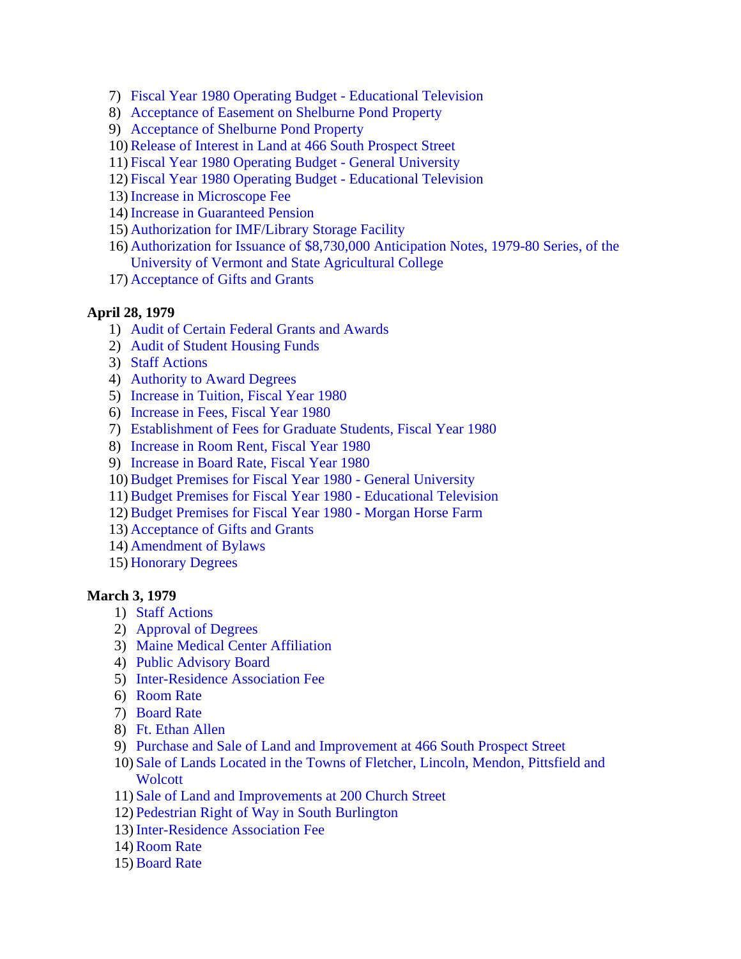- 7) [Fiscal Year 1980 Operating Budget Educational Television](#page-15-0)
- 8) [Acceptance of Easement on Shelburne Pond Property](#page-14-0)
- 9) [Acceptance of Shelburne Pond Property](#page-14-0)
- 10) [Release of Interest in Land at 466 South Prospect Street](#page-14-0)
- 11) [Fiscal Year 1980 Operating Budget General University](#page-14-0)
- 12) [Fiscal Year 1980 Operating Budget Educational Television](#page-15-0)
- 13) [Increase in Microscope Fee](#page-15-0)
- 14) [Increase in Guaranteed Pension](#page-15-0)
- 15) [Authorization for IMF/Library Storage Facility](#page-15-0)
- 16) [Authorization for Issuance of \\$8,730,000 Anticipation Notes, 1979-80 Series, of the](#page-16-0)  University of Vermont and State Agricultural College
- 17) [Acceptance of Gifts and Grants](#page-16-0)

#### **April 28, 1979**

- 1) [Audit of Certain Federal Grants and Awards](#page-17-0)
- 2) [Audit of Student Housing Funds](#page-17-0)
- 3) [Staff Actions](#page-17-0)
- 4) [Authority to Award Degrees](#page-18-0)
- 5) [Increase in Tuition, Fiscal Year 1980](#page-18-0)
- 6) [Increase in Fees, Fiscal Year 1980](#page-18-0)
- 7) [Establishment of Fees for Graduate Students, Fiscal Year 1980](#page-18-0)
- 8) [Increase in Room Rent, Fiscal Year 1980](#page-19-0)
- 9) [Increase in Board Rate, Fiscal Year 1980](#page-19-0)
- 10) [Budget Premises for Fiscal Year 1980 General University](#page-19-0)
- 11) [Budget Premises for Fiscal Year 1980 Educational Television](#page-19-0)
- 12) [Budget Premises for Fiscal Year 1980 Morgan Horse Farm](#page-19-0)
- 13) [Acceptance of Gifts and Grants](#page-19-0)
- 14) [Amendment of Bylaws](#page-20-0)
- 15) [Honorary Degrees](#page-20-0)

#### **March 3, 1979**

- 1) [Staff Actions](#page-21-0)
- 2) [Approval of Degrees](#page-21-0)
- 3) [Maine Medical Center Affiliation](#page-21-0)
- 4) [Public Advisory Board](#page-21-0)
- 5) [Inter-Residence Association Fee](#page-21-0)
- 6) [Room Rate](#page-22-0)
- 7) [Board Rate](#page-22-0)
- 8) [Ft. Ethan Allen](#page-22-0)
- 9) [Purchase and Sale of Land and Improvement at 466 South Prospect Street](#page-23-0)
- 10) [Sale of Lands Located in the Towns of Fletcher, Lincoln, Mendon, Pittsfield and](#page-23-0) **Wolcott**
- 11) [Sale of Land and Improvements at 200 Church Street](#page-24-0)
- 12) [Pedestrian Right of Way in South Burlington](#page-24-0)
- 13) [Inter-Residence Association Fee](#page-24-0)
- 14) [Room Rate](#page-24-0)
- 15) [Board Rate](#page-22-0)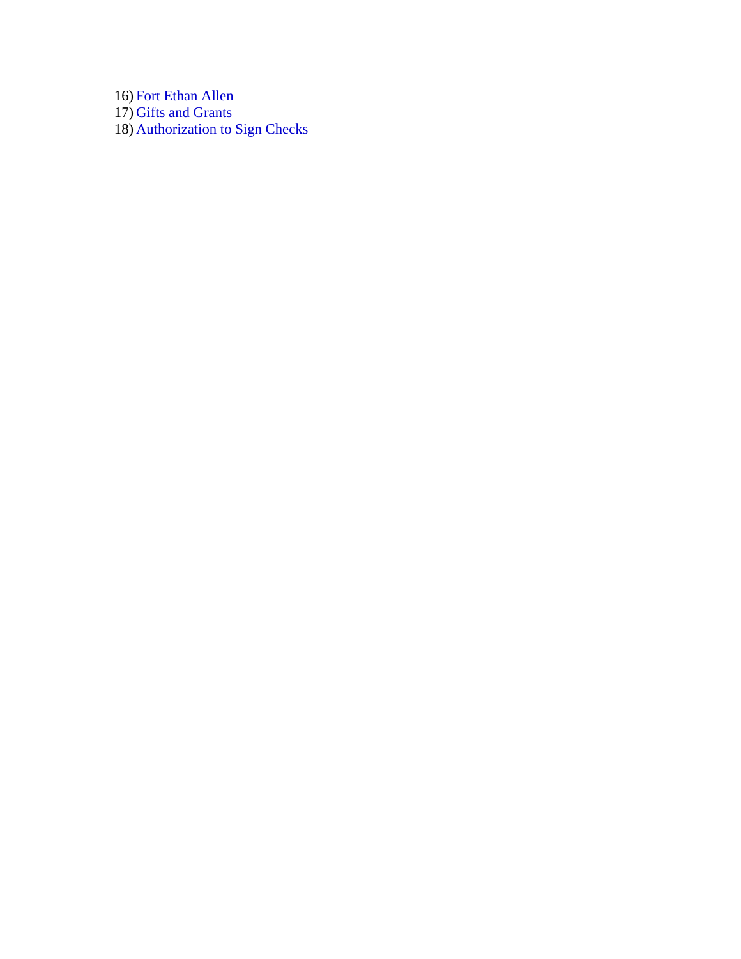16) [Fort Ethan Allen](#page-22-0) 17) [Gifts and Grants](#page-25-0)  18) [Authorization to Sign Checks](#page-25-0)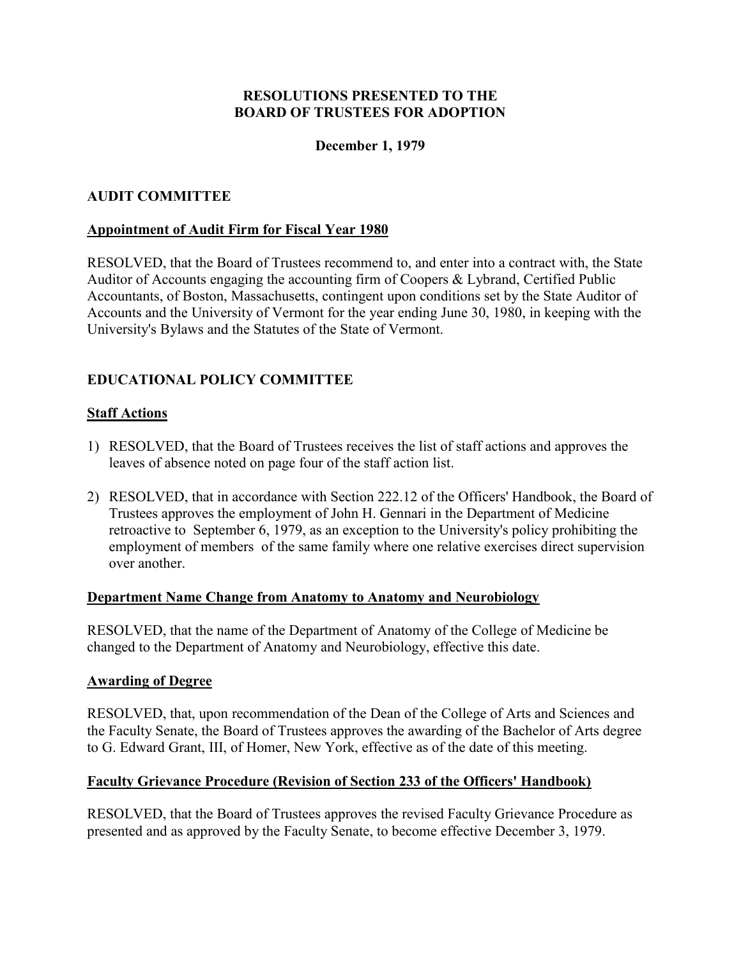## **December 1, 1979**

#### <span id="page-3-0"></span>**AUDIT COMMITTEE**

#### **Appointment of Audit Firm for Fiscal Year 1980**

RESOLVED, that the Board of Trustees recommend to, and enter into a contract with, the State Auditor of Accounts engaging the accounting firm of Coopers & Lybrand, Certified Public Accountants, of Boston, Massachusetts, contingent upon conditions set by the State Auditor of Accounts and the University of Vermont for the year ending June 30, 1980, in keeping with the University's Bylaws and the Statutes of the State of Vermont.

## **EDUCATIONAL POLICY COMMITTEE**

#### **Staff Actions**

- 1) RESOLVED, that the Board of Trustees receives the list of staff actions and approves the leaves of absence noted on page four of the staff action list.
- 2) RESOLVED, that in accordance with Section 222.12 of the Officers' Handbook, the Board of Trustees approves the employment of John H. Gennari in the Department of Medicine retroactive to September 6, 1979, as an exception to the University's policy prohibiting the employment of members of the same family where one relative exercises direct supervision over another.

#### **Department Name Change from Anatomy to Anatomy and Neurobiology**

RESOLVED, that the name of the Department of Anatomy of the College of Medicine be changed to the Department of Anatomy and Neurobiology, effective this date.

#### **Awarding of Degree**

RESOLVED, that, upon recommendation of the Dean of the College of Arts and Sciences and the Faculty Senate, the Board of Trustees approves the awarding of the Bachelor of Arts degree to G. Edward Grant, III, of Homer, New York, effective as of the date of this meeting.

#### **Faculty Grievance Procedure (Revision of Section 233 of the Officers' Handbook)**

RESOLVED, that the Board of Trustees approves the revised Faculty Grievance Procedure as presented and as approved by the Faculty Senate, to become effective December 3, 1979.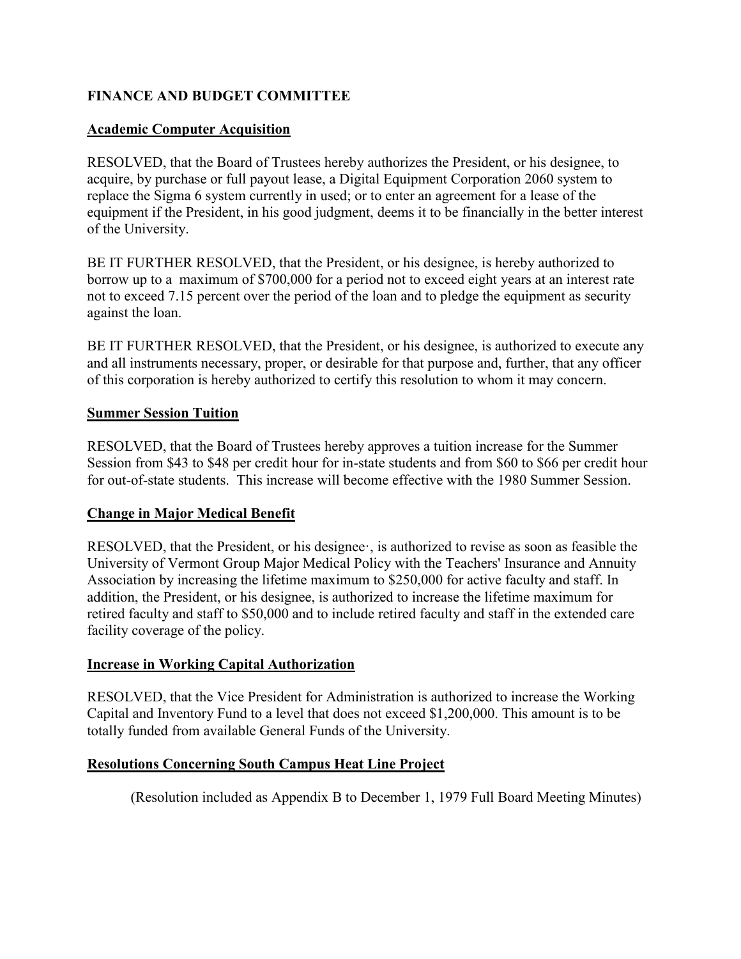## <span id="page-4-0"></span>**FINANCE AND BUDGET COMMITTEE**

## **Academic Computer Acquisition**

RESOLVED, that the Board of Trustees hereby authorizes the President, or his designee, to acquire, by purchase or full payout lease, a Digital Equipment Corporation 2060 system to replace the Sigma 6 system currently in used; or to enter an agreement for a lease of the equipment if the President, in his good judgment, deems it to be financially in the better interest of the University.

BE IT FURTHER RESOLVED, that the President, or his designee, is hereby authorized to borrow up to a maximum of \$700,000 for a period not to exceed eight years at an interest rate not to exceed 7.15 percent over the period of the loan and to pledge the equipment as security against the loan.

BE IT FURTHER RESOLVED, that the President, or his designee, is authorized to execute any and all instruments necessary, proper, or desirable for that purpose and, further, that any officer of this corporation is hereby authorized to certify this resolution to whom it may concern.

## **Summer Session Tuition**

RESOLVED, that the Board of Trustees hereby approves a tuition increase for the Summer Session from \$43 to \$48 per credit hour for in-state students and from \$60 to \$66 per credit hour for out-of-state students. This increase will become effective with the 1980 Summer Session.

## **Change in Major Medical Benefit**

RESOLVED, that the President, or his designee·, is authorized to revise as soon as feasible the University of Vermont Group Major Medical Policy with the Teachers' Insurance and Annuity Association by increasing the lifetime maximum to \$250,000 for active faculty and staff. In addition, the President, or his designee, is authorized to increase the lifetime maximum for retired faculty and staff to \$50,000 and to include retired faculty and staff in the extended care facility coverage of the policy.

## **Increase in Working Capital Authorization**

RESOLVED, that the Vice President for Administration is authorized to increase the Working Capital and Inventory Fund to a level that does not exceed \$1,200,000. This amount is to be totally funded from available General Funds of the University.

#### **Resolutions Concerning South Campus Heat Line Project**

(Resolution included as Appendix B to December 1, 1979 Full Board Meeting Minutes)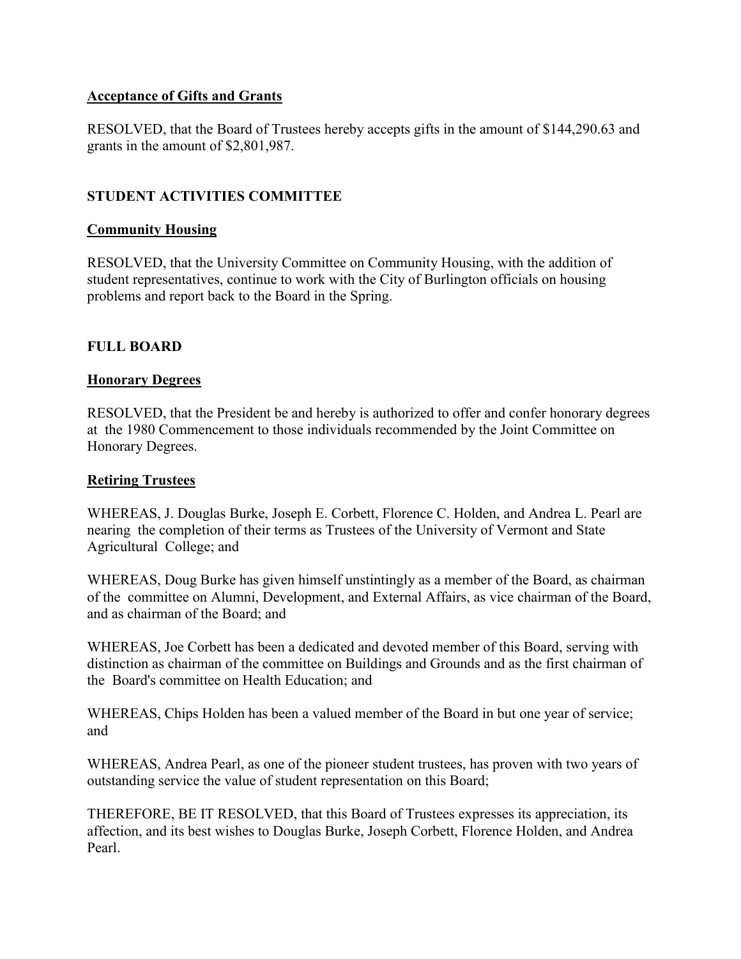## <span id="page-5-0"></span>**Acceptance of Gifts and Grants**

RESOLVED, that the Board of Trustees hereby accepts gifts in the amount of \$144,290.63 and grants in the amount of \$2,801,987.

## **STUDENT ACTIVITIES COMMITTEE**

#### **Community Housing**

RESOLVED, that the University Committee on Community Housing, with the addition of student representatives, continue to work with the City of Burlington officials on housing problems and report back to the Board in the Spring.

#### **FULL BOARD**

#### **Honorary Degrees**

RESOLVED, that the President be and hereby is authorized to offer and confer honorary degrees at the 1980 Commencement to those individuals recommended by the Joint Committee on Honorary Degrees.

#### **Retiring Trustees**

WHEREAS, J. Douglas Burke, Joseph E. Corbett, Florence C. Holden, and Andrea L. Pearl are nearing the completion of their terms as Trustees of the University of Vermont and State Agricultural College; and

WHEREAS, Doug Burke has given himself unstintingly as a member of the Board, as chairman of the committee on Alumni, Development, and External Affairs, as vice chairman of the Board, and as chairman of the Board; and

WHEREAS, Joe Corbett has been a dedicated and devoted member of this Board, serving with distinction as chairman of the committee on Buildings and Grounds and as the first chairman of the Board's committee on Health Education; and

WHEREAS, Chips Holden has been a valued member of the Board in but one year of service; and

WHEREAS, Andrea Pearl, as one of the pioneer student trustees, has proven with two years of outstanding service the value of student representation on this Board;

THEREFORE, BE IT RESOLVED, that this Board of Trustees expresses its appreciation, its affection, and its best wishes to Douglas Burke, Joseph Corbett, Florence Holden, and Andrea Pearl.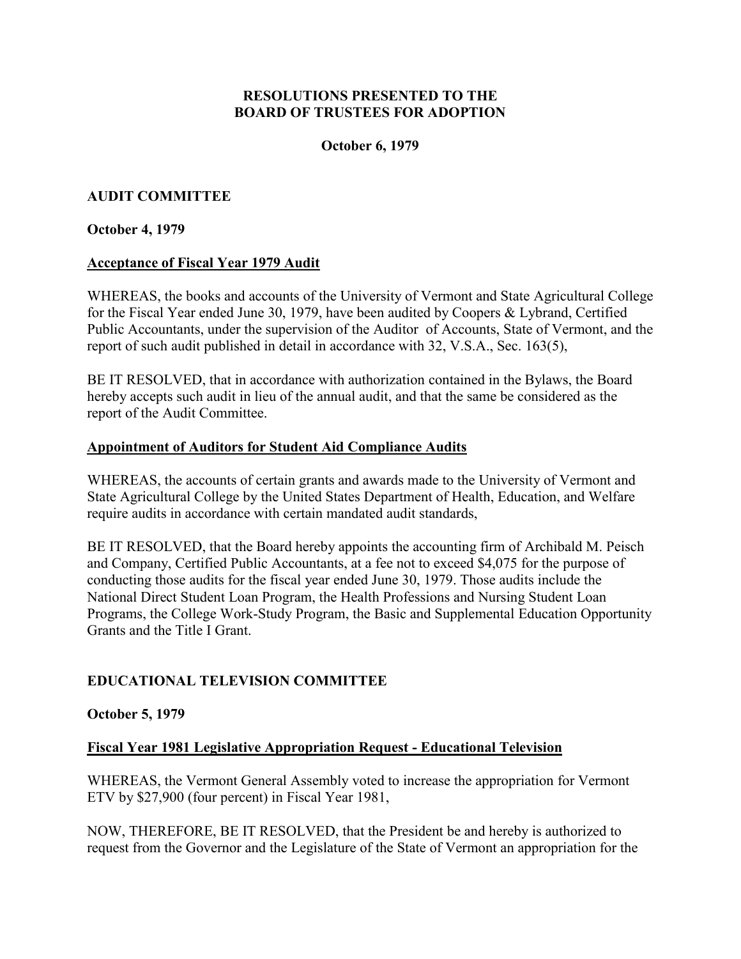#### **October 6, 1979**

## <span id="page-6-0"></span>**AUDIT COMMITTEE**

#### **October 4, 1979**

#### **Acceptance of Fiscal Year 1979 Audit**

WHEREAS, the books and accounts of the University of Vermont and State Agricultural College for the Fiscal Year ended June 30, 1979, have been audited by Coopers & Lybrand, Certified Public Accountants, under the supervision of the Auditor of Accounts, State of Vermont, and the report of such audit published in detail in accordance with 32, V.S.A., Sec. 163(5),

BE IT RESOLVED, that in accordance with authorization contained in the Bylaws, the Board hereby accepts such audit in lieu of the annual audit, and that the same be considered as the report of the Audit Committee.

#### **Appointment of Auditors for Student Aid Compliance Audits**

WHEREAS, the accounts of certain grants and awards made to the University of Vermont and State Agricultural College by the United States Department of Health, Education, and Welfare require audits in accordance with certain mandated audit standards,

BE IT RESOLVED, that the Board hereby appoints the accounting firm of Archibald M. Peisch and Company, Certified Public Accountants, at a fee not to exceed \$4,075 for the purpose of conducting those audits for the fiscal year ended June 30, 1979. Those audits include the National Direct Student Loan Program, the Health Professions and Nursing Student Loan Programs, the College Work-Study Program, the Basic and Supplemental Education Opportunity Grants and the Title I Grant.

#### **EDUCATIONAL TELEVISION COMMITTEE**

#### **October 5, 1979**

#### **Fiscal Year 1981 Legislative Appropriation Request - Educational Television**

WHEREAS, the Vermont General Assembly voted to increase the appropriation for Vermont ETV by \$27,900 (four percent) in Fiscal Year 1981,

NOW, THEREFORE, BE IT RESOLVED, that the President be and hereby is authorized to request from the Governor and the Legislature of the State of Vermont an appropriation for the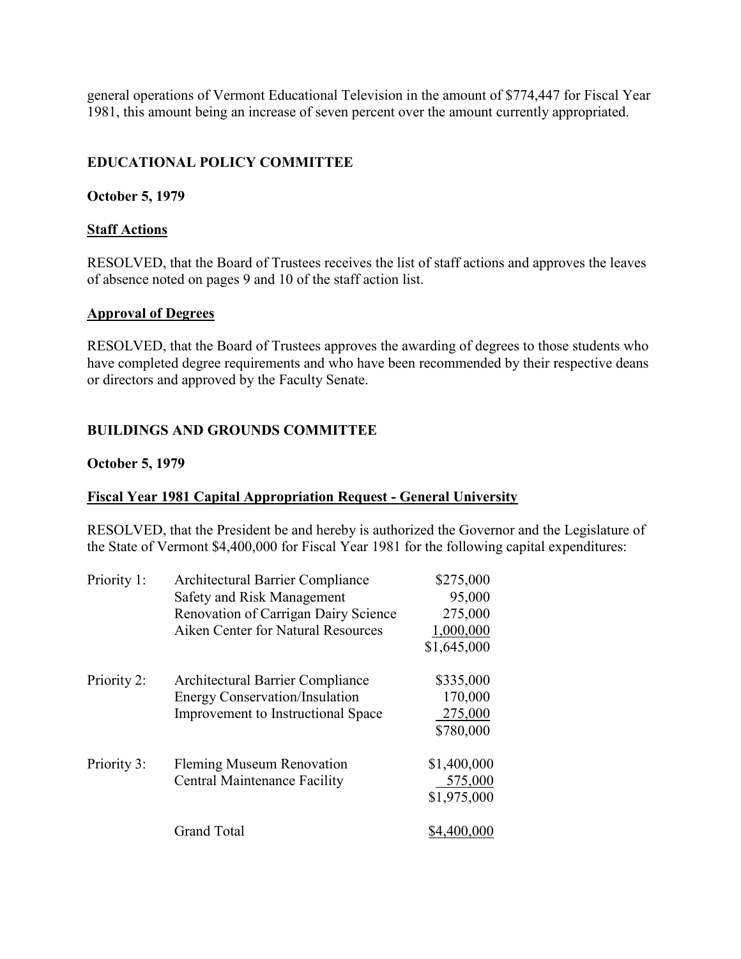<span id="page-7-0"></span>general operations of Vermont Educational Television in the amount of \$774,447 for Fiscal Year 1981, this amount being an increase of seven percent over the amount currently appropriated.

## **EDUCATIONAL POLICY COMMITTEE**

#### **October 5, 1979**

#### **Staff Actions**

RESOLVED, that the Board of Trustees receives the list of staff actions and approves the leaves of absence noted on pages 9 and 10 of the staff action list.

#### **Approval of Degrees**

RESOLVED, that the Board of Trustees approves the awarding of degrees to those students who have completed degree requirements and who have been recommended by their respective deans or directors and approved by the Faculty Senate.

## **BUILDINGS AND GROUNDS COMMITTEE**

#### **October 5, 1979**

## **Fiscal Year 1981 Capital Appropriation Request - General University**

RESOLVED, that the President be and hereby is authorized the Governor and the Legislature of the State of Vermont \$4,400,000 for Fiscal Year 1981 for the following capital expenditures:

| Priority 1: | Architectural Barrier Compliance          | \$275,000   |
|-------------|-------------------------------------------|-------------|
|             | Safety and Risk Management                | 95,000      |
|             | Renovation of Carrigan Dairy Science      | 275,000     |
|             | Aiken Center for Natural Resources        | 1,000,000   |
|             |                                           | \$1,645,000 |
| Priority 2: | Architectural Barrier Compliance          | \$335,000   |
|             | <b>Energy Conservation/Insulation</b>     | 170,000     |
|             | <b>Improvement to Instructional Space</b> | 275,000     |
|             |                                           | \$780,000   |
| Priority 3: | <b>Fleming Museum Renovation</b>          | \$1,400,000 |
|             | <b>Central Maintenance Facility</b>       | 575,000     |
|             |                                           | \$1,975,000 |
|             | <b>Grand Total</b>                        | \$4,400,000 |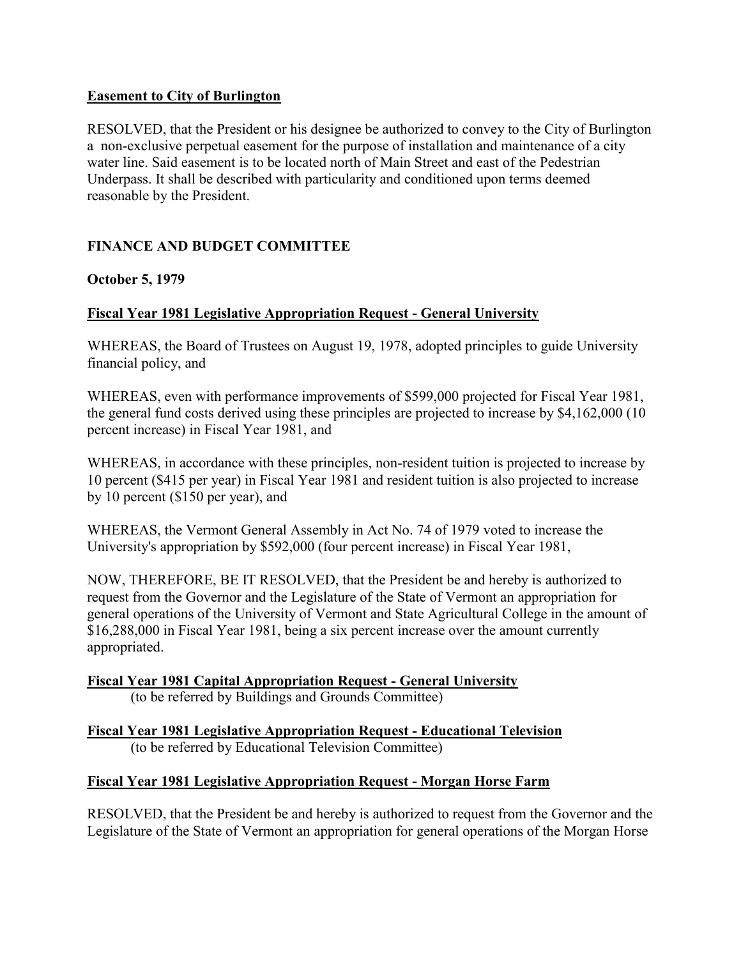## <span id="page-8-0"></span>**Easement to City of Burlington**

RESOLVED, that the President or his designee be authorized to convey to the City of Burlington a non-exclusive perpetual easement for the purpose of installation and maintenance of a city water line. Said easement is to be located north of Main Street and east of the Pedestrian Underpass. It shall be described with particularity and conditioned upon terms deemed reasonable by the President.

## **FINANCE AND BUDGET COMMITTEE**

## **October 5, 1979**

## **Fiscal Year 1981 Legislative Appropriation Request - General University**

WHEREAS, the Board of Trustees on August 19, 1978, adopted principles to guide University financial policy, and

WHEREAS, even with performance improvements of \$599,000 projected for Fiscal Year 1981, the general fund costs derived using these principles are projected to increase by \$4,162,000 (10 percent increase) in Fiscal Year 1981, and

WHEREAS, in accordance with these principles, non-resident tuition is projected to increase by 10 percent (\$415 per year) in Fiscal Year 1981 and resident tuition is also projected to increase by 10 percent (\$150 per year), and

WHEREAS, the Vermont General Assembly in Act No. 74 of 1979 voted to increase the University's appropriation by \$592,000 (four percent increase) in Fiscal Year 1981,

NOW, THEREFORE, BE IT RESOLVED, that the President be and hereby is authorized to request from the Governor and the Legislature of the State of Vermont an appropriation for general operations of the University of Vermont and State Agricultural College in the amount of \$16,288,000 in Fiscal Year 1981, being a six percent increase over the amount currently appropriated.

**Fiscal Year 1981 Capital Appropriation Request - General University** 

(to be referred by Buildings and Grounds Committee)

**Fiscal Year 1981 Legislative Appropriation Request - Educational Television**  (to be referred by Educational Television Committee)

## **Fiscal Year 1981 Legislative Appropriation Request - Morgan Horse Farm**

RESOLVED, that the President be and hereby is authorized to request from the Governor and the Legislature of the State of Vermont an appropriation for general operations of the Morgan Horse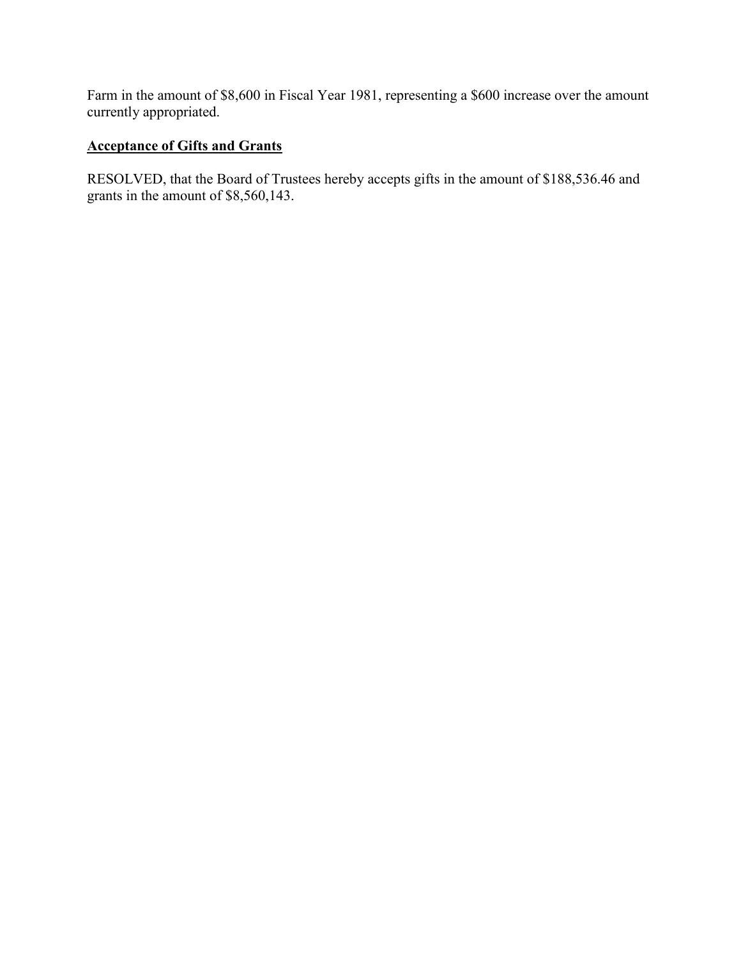<span id="page-9-0"></span>Farm in the amount of \$8,600 in Fiscal Year 1981, representing a \$600 increase over the amount currently appropriated.

## **Acceptance of Gifts and Grants**

RESOLVED, that the Board of Trustees hereby accepts gifts in the amount of \$188,536.46 and grants in the amount of \$8,560,143.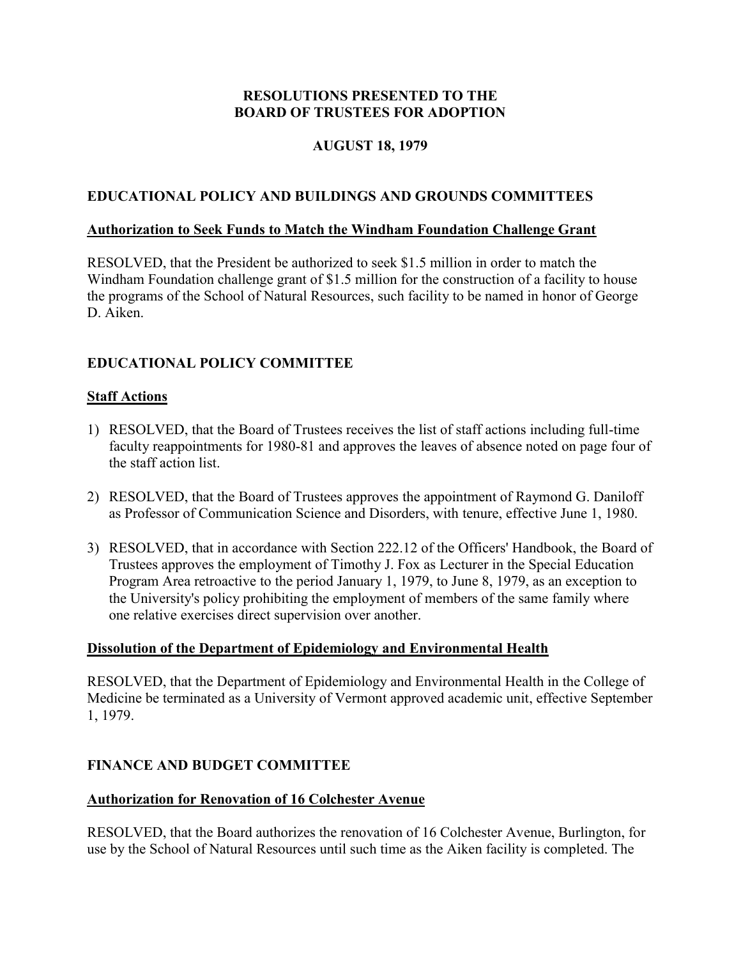# **AUGUST 18, 1979**

## <span id="page-10-0"></span>**EDUCATIONAL POLICY AND BUILDINGS AND GROUNDS COMMITTEES**

#### **Authorization to Seek Funds to Match the Windham Foundation Challenge Grant**

RESOLVED, that the President be authorized to seek \$1.5 million in order to match the Windham Foundation challenge grant of \$1.5 million for the construction of a facility to house the programs of the School of Natural Resources, such facility to be named in honor of George D. Aiken.

# **EDUCATIONAL POLICY COMMITTEE**

## **Staff Actions**

- 1) RESOLVED, that the Board of Trustees receives the list of staff actions including full-time faculty reappointments for 1980-81 and approves the leaves of absence noted on page four of the staff action list.
- 2) RESOLVED, that the Board of Trustees approves the appointment of Raymond G. Daniloff as Professor of Communication Science and Disorders, with tenure, effective June 1, 1980.
- 3) RESOLVED, that in accordance with Section 222.12 of the Officers' Handbook, the Board of Trustees approves the employment of Timothy J. Fox as Lecturer in the Special Education Program Area retroactive to the period January 1, 1979, to June 8, 1979, as an exception to the University's policy prohibiting the employment of members of the same family where one relative exercises direct supervision over another.

## **Dissolution of the Department of Epidemiology and Environmental Health**

RESOLVED, that the Department of Epidemiology and Environmental Health in the College of Medicine be terminated as a University of Vermont approved academic unit, effective September 1, 1979.

## **FINANCE AND BUDGET COMMITTEE**

#### **Authorization for Renovation of 16 Colchester Avenue**

RESOLVED, that the Board authorizes the renovation of 16 Colchester Avenue, Burlington, for use by the School of Natural Resources until such time as the Aiken facility is completed. The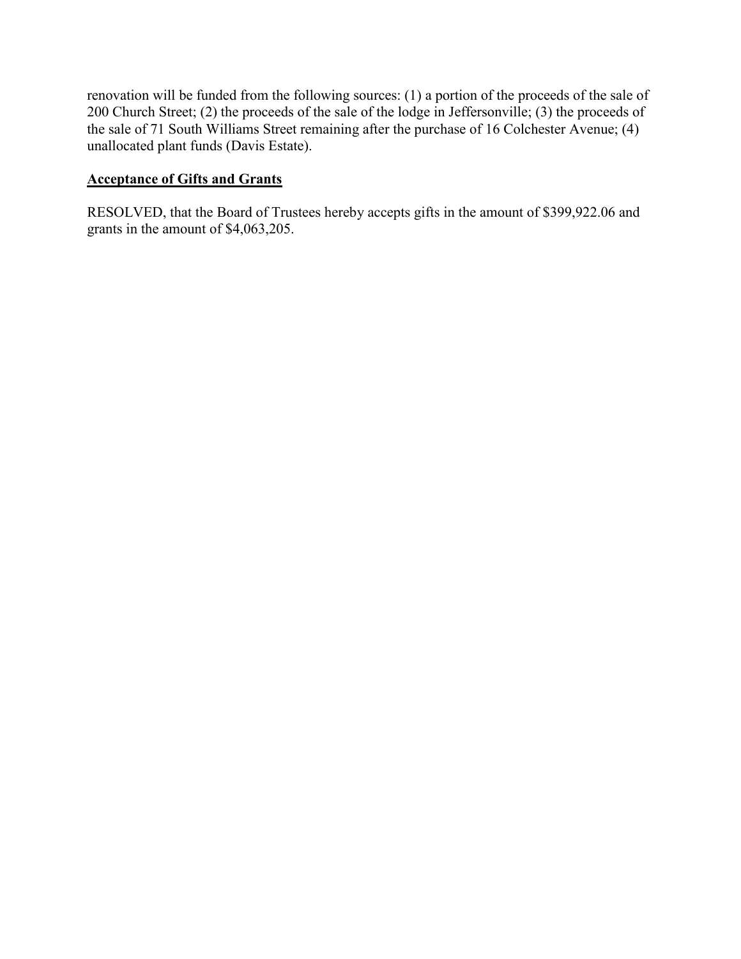<span id="page-11-0"></span>renovation will be funded from the following sources: (1) a portion of the proceeds of the sale of 200 Church Street; (2) the proceeds of the sale of the lodge in Jeffersonville; (3) the proceeds of the sale of 71 South Williams Street remaining after the purchase of 16 Colchester Avenue; (4) unallocated plant funds (Davis Estate).

#### **Acceptance of Gifts and Grants**

RESOLVED, that the Board of Trustees hereby accepts gifts in the amount of \$399,922.06 and grants in the amount of \$4,063,205.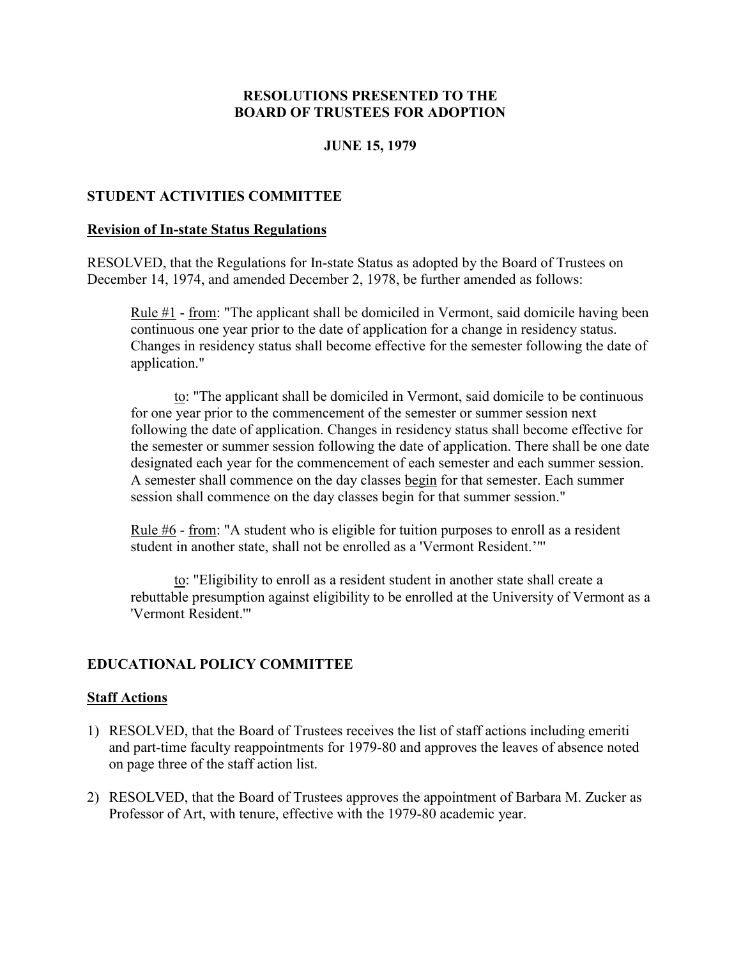#### **JUNE 15, 1979**

#### <span id="page-12-0"></span>**STUDENT ACTIVITIES COMMITTEE**

#### **Revision of In-state Status Regulations**

RESOLVED, that the Regulations for In-state Status as adopted by the Board of Trustees on December 14, 1974, and amended December 2, 1978, be further amended as follows:

Rule  $#1$  - from: "The applicant shall be domiciled in Vermont, said domicile having been continuous one year prior to the date of application for a change in residency status. Changes in residency status shall become effective for the semester following the date of application."

to: "The applicant shall be domiciled in Vermont, said domicile to be continuous for one year prior to the commencement of the semester or summer session next following the date of application. Changes in residency status shall become effective for the semester or summer session following the date of application. There shall be one date designated each year for the commencement of each semester and each summer session. A semester shall commence on the day classes begin for that semester. Each summer session shall commence on the day classes begin for that summer session."

Rule #6 - from: "A student who is eligible for tuition purposes to enroll as a resident student in another state, shall not be enrolled as a 'Vermont Resident.'"'

to: "Eligibility to enroll as a resident student in another state shall create a rebuttable presumption against eligibility to be enrolled at the University of Vermont as a 'Vermont Resident.'"

#### **EDUCATIONAL POLICY COMMITTEE**

#### **Staff Actions**

- 1) RESOLVED, that the Board of Trustees receives the list of staff actions including emeriti and part-time faculty reappointments for 1979-80 and approves the leaves of absence noted on page three of the staff action list.
- 2) RESOLVED, that the Board of Trustees approves the appointment of Barbara M. Zucker as Professor of Art, with tenure, effective with the 1979-80 academic year.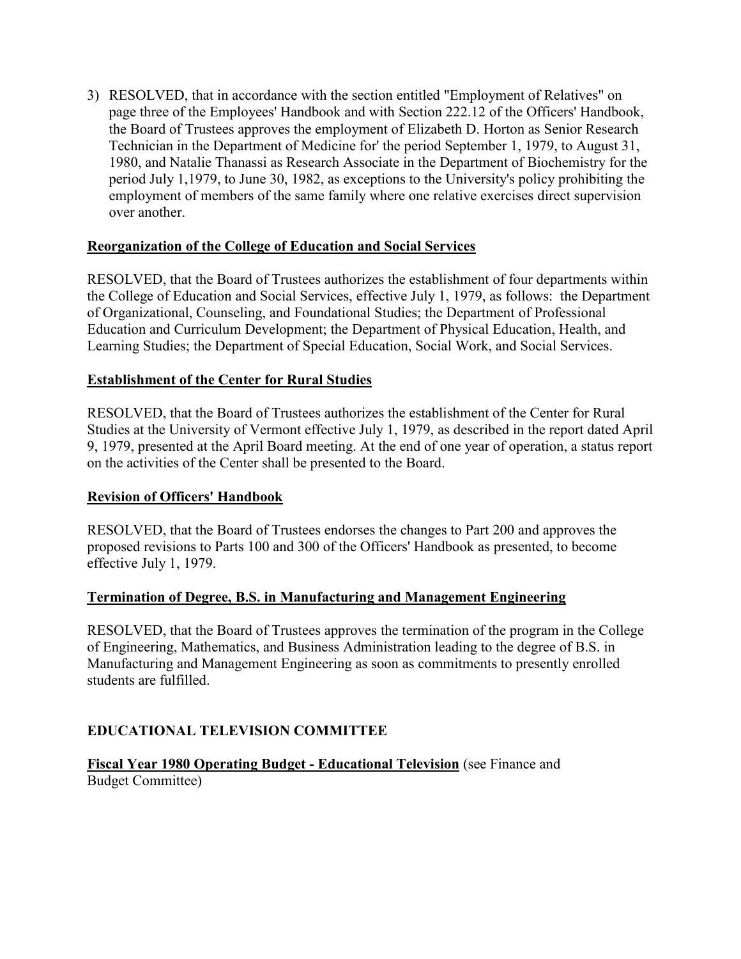<span id="page-13-0"></span>3) RESOLVED, that in accordance with the section entitled "Employment of Relatives" on page three of the Employees' Handbook and with Section 222.12 of the Officers' Handbook, the Board of Trustees approves the employment of Elizabeth D. Horton as Senior Research Technician in the Department of Medicine for' the period September 1, 1979, to August 31, 1980, and Natalie Thanassi as Research Associate in the Department of Biochemistry for the period July 1,1979, to June 30, 1982, as exceptions to the University's policy prohibiting the employment of members of the same family where one relative exercises direct supervision over another.

## **Reorganization of the College of Education and Social Services**

RESOLVED, that the Board of Trustees authorizes the establishment of four departments within the College of Education and Social Services, effective July 1, 1979, as follows: the Department of Organizational, Counseling, and Foundational Studies; the Department of Professional Education and Curriculum Development; the Department of Physical Education, Health, and Learning Studies; the Department of Special Education, Social Work, and Social Services.

#### **Establishment of the Center for Rural Studies**

RESOLVED, that the Board of Trustees authorizes the establishment of the Center for Rural Studies at the University of Vermont effective July 1, 1979, as described in the report dated April 9, 1979, presented at the April Board meeting. At the end of one year of operation, a status report on the activities of the Center shall be presented to the Board.

#### **Revision of Officers' Handbook**

RESOLVED, that the Board of Trustees endorses the changes to Part 200 and approves the proposed revisions to Parts 100 and 300 of the Officers' Handbook as presented, to become effective July 1, 1979.

#### **Termination of Degree, B.S. in Manufacturing and Management Engineering**

RESOLVED, that the Board of Trustees approves the termination of the program in the College of Engineering, Mathematics, and Business Administration leading to the degree of B.S. in Manufacturing and Management Engineering as soon as commitments to presently enrolled students are fulfilled.

## **EDUCATIONAL TELEVISION COMMITTEE**

**Fiscal Year 1980 Operating Budget - Educational Television** (see Finance and Budget Committee)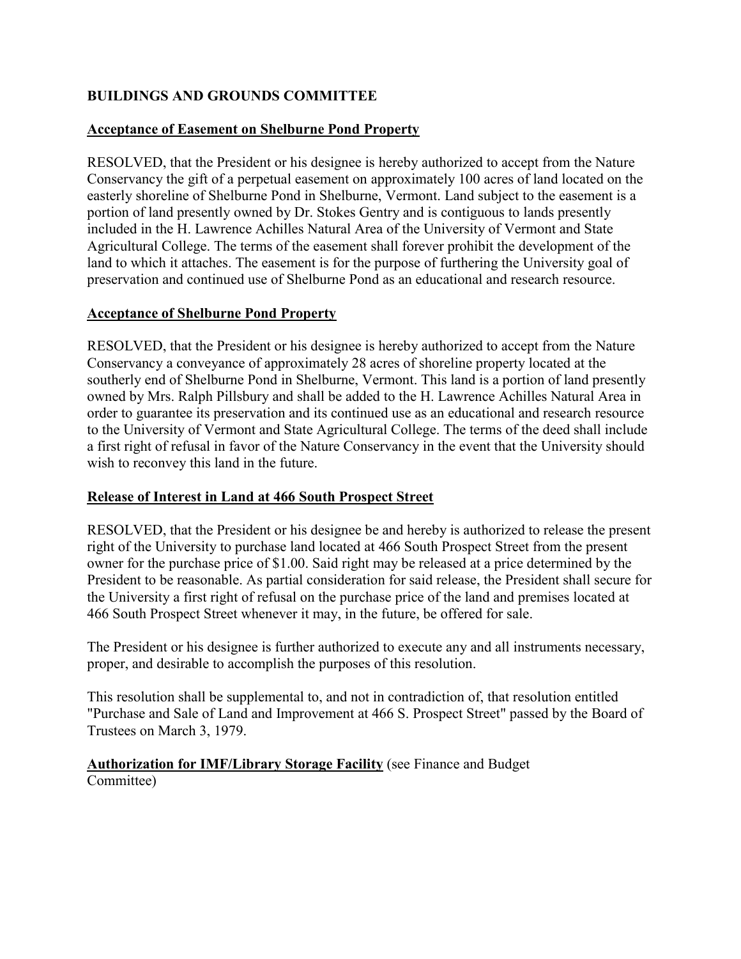# <span id="page-14-0"></span>**BUILDINGS AND GROUNDS COMMITTEE**

## **Acceptance of Easement on Shelburne Pond Property**

RESOLVED, that the President or his designee is hereby authorized to accept from the Nature Conservancy the gift of a perpetual easement on approximately 100 acres of land located on the easterly shoreline of Shelburne Pond in Shelburne, Vermont. Land subject to the easement is a portion of land presently owned by Dr. Stokes Gentry and is contiguous to lands presently included in the H. Lawrence Achilles Natural Area of the University of Vermont and State Agricultural College. The terms of the easement shall forever prohibit the development of the land to which it attaches. The easement is for the purpose of furthering the University goal of preservation and continued use of Shelburne Pond as an educational and research resource.

## **Acceptance of Shelburne Pond Property**

RESOLVED, that the President or his designee is hereby authorized to accept from the Nature Conservancy a conveyance of approximately 28 acres of shoreline property located at the southerly end of Shelburne Pond in Shelburne, Vermont. This land is a portion of land presently owned by Mrs. Ralph Pillsbury and shall be added to the H. Lawrence Achilles Natural Area in order to guarantee its preservation and its continued use as an educational and research resource to the University of Vermont and State Agricultural College. The terms of the deed shall include a first right of refusal in favor of the Nature Conservancy in the event that the University should wish to reconvey this land in the future.

## **Release of Interest in Land at 466 South Prospect Street**

RESOLVED, that the President or his designee be and hereby is authorized to release the present right of the University to purchase land located at 466 South Prospect Street from the present owner for the purchase price of \$1.00. Said right may be released at a price determined by the President to be reasonable. As partial consideration for said release, the President shall secure for the University a first right of refusal on the purchase price of the land and premises located at 466 South Prospect Street whenever it may, in the future, be offered for sale.

The President or his designee is further authorized to execute any and all instruments necessary, proper, and desirable to accomplish the purposes of this resolution.

This resolution shall be supplemental to, and not in contradiction of, that resolution entitled "Purchase and Sale of Land and Improvement at 466 S. Prospect Street" passed by the Board of Trustees on March 3, 1979.

**Authorization for IMF/Library Storage Facility** (see Finance and Budget Committee)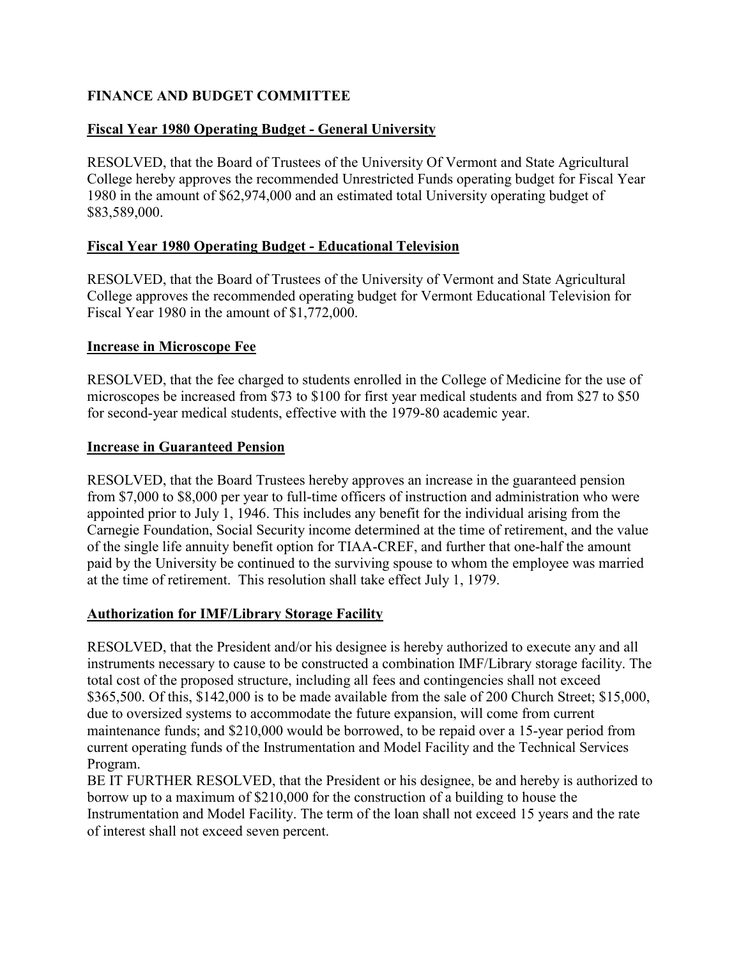## <span id="page-15-0"></span>**FINANCE AND BUDGET COMMITTEE**

# **Fiscal Year 1980 Operating Budget - General University**

RESOLVED, that the Board of Trustees of the University Of Vermont and State Agricultural College hereby approves the recommended Unrestricted Funds operating budget for Fiscal Year 1980 in the amount of \$62,974,000 and an estimated total University operating budget of \$83,589,000.

## **Fiscal Year 1980 Operating Budget - Educational Television**

RESOLVED, that the Board of Trustees of the University of Vermont and State Agricultural College approves the recommended operating budget for Vermont Educational Television for Fiscal Year 1980 in the amount of \$1,772,000.

## **Increase in Microscope Fee**

RESOLVED, that the fee charged to students enrolled in the College of Medicine for the use of microscopes be increased from \$73 to \$100 for first year medical students and from \$27 to \$50 for second-year medical students, effective with the 1979-80 academic year.

#### **Increase in Guaranteed Pension**

RESOLVED, that the Board Trustees hereby approves an increase in the guaranteed pension from \$7,000 to \$8,000 per year to full-time officers of instruction and administration who were appointed prior to July 1, 1946. This includes any benefit for the individual arising from the Carnegie Foundation, Social Security income determined at the time of retirement, and the value of the single life annuity benefit option for TIAA-CREF, and further that one-half the amount paid by the University be continued to the surviving spouse to whom the employee was married at the time of retirement. This resolution shall take effect July 1, 1979.

## **Authorization for IMF/Library Storage Facility**

RESOLVED, that the President and/or his designee is hereby authorized to execute any and all instruments necessary to cause to be constructed a combination IMF/Library storage facility. The total cost of the proposed structure, including all fees and contingencies shall not exceed \$365,500. Of this, \$142,000 is to be made available from the sale of 200 Church Street; \$15,000, due to oversized systems to accommodate the future expansion, will come from current maintenance funds; and \$210,000 would be borrowed, to be repaid over a 15-year period from current operating funds of the Instrumentation and Model Facility and the Technical Services Program.

BE IT FURTHER RESOLVED, that the President or his designee, be and hereby is authorized to borrow up to a maximum of \$210,000 for the construction of a building to house the Instrumentation and Model Facility. The term of the loan shall not exceed 15 years and the rate of interest shall not exceed seven percent.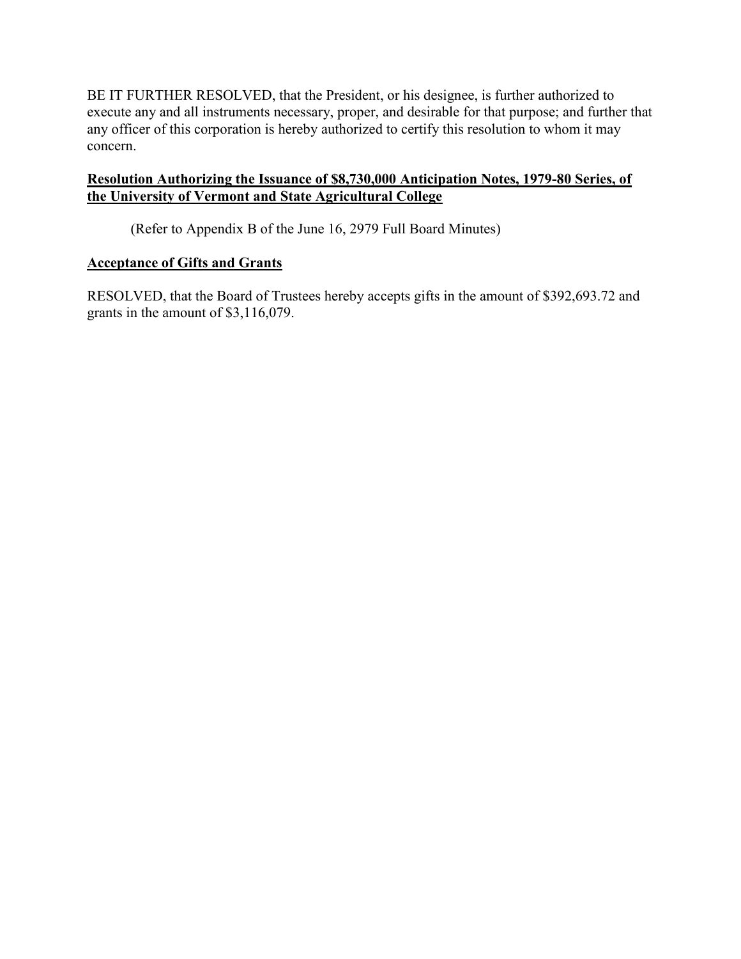<span id="page-16-0"></span>BE IT FURTHER RESOLVED, that the President, or his designee, is further authorized to execute any and all instruments necessary, proper, and desirable for that purpose; and further that any officer of this corporation is hereby authorized to certify this resolution to whom it may concern.

## **Resolution Authorizing the Issuance of \$8,730,000 Anticipation Notes, 1979-80 Series, of the University of Vermont and State Agricultural College**

(Refer to Appendix B of the June 16, 2979 Full Board Minutes)

## **Acceptance of Gifts and Grants**

RESOLVED, that the Board of Trustees hereby accepts gifts in the amount of \$392,693.72 and grants in the amount of \$3,116,079.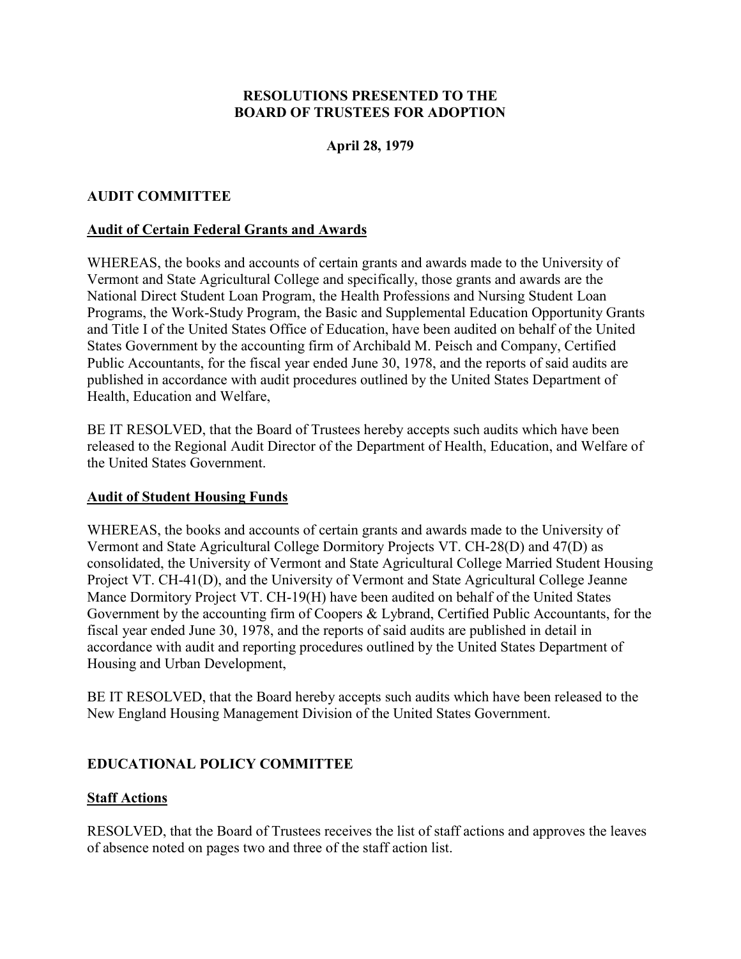## **April 28, 1979**

## <span id="page-17-0"></span>**AUDIT COMMITTEE**

#### **Audit of Certain Federal Grants and Awards**

WHEREAS, the books and accounts of certain grants and awards made to the University of Vermont and State Agricultural College and specifically, those grants and awards are the National Direct Student Loan Program, the Health Professions and Nursing Student Loan Programs, the Work-Study Program, the Basic and Supplemental Education Opportunity Grants and Title I of the United States Office of Education, have been audited on behalf of the United States Government by the accounting firm of Archibald M. Peisch and Company, Certified Public Accountants, for the fiscal year ended June 30, 1978, and the reports of said audits are published in accordance with audit procedures outlined by the United States Department of Health, Education and Welfare,

BE IT RESOLVED, that the Board of Trustees hereby accepts such audits which have been released to the Regional Audit Director of the Department of Health, Education, and Welfare of the United States Government.

#### **Audit of Student Housing Funds**

WHEREAS, the books and accounts of certain grants and awards made to the University of Vermont and State Agricultural College Dormitory Projects VT. CH-28(D) and 47(D) as consolidated, the University of Vermont and State Agricultural College Married Student Housing Project VT. CH-41(D), and the University of Vermont and State Agricultural College Jeanne Mance Dormitory Project VT. CH-19(H) have been audited on behalf of the United States Government by the accounting firm of Coopers & Lybrand, Certified Public Accountants, for the fiscal year ended June 30, 1978, and the reports of said audits are published in detail in accordance with audit and reporting procedures outlined by the United States Department of Housing and Urban Development,

BE IT RESOLVED, that the Board hereby accepts such audits which have been released to the New England Housing Management Division of the United States Government.

#### **EDUCATIONAL POLICY COMMITTEE**

#### **Staff Actions**

RESOLVED, that the Board of Trustees receives the list of staff actions and approves the leaves of absence noted on pages two and three of the staff action list.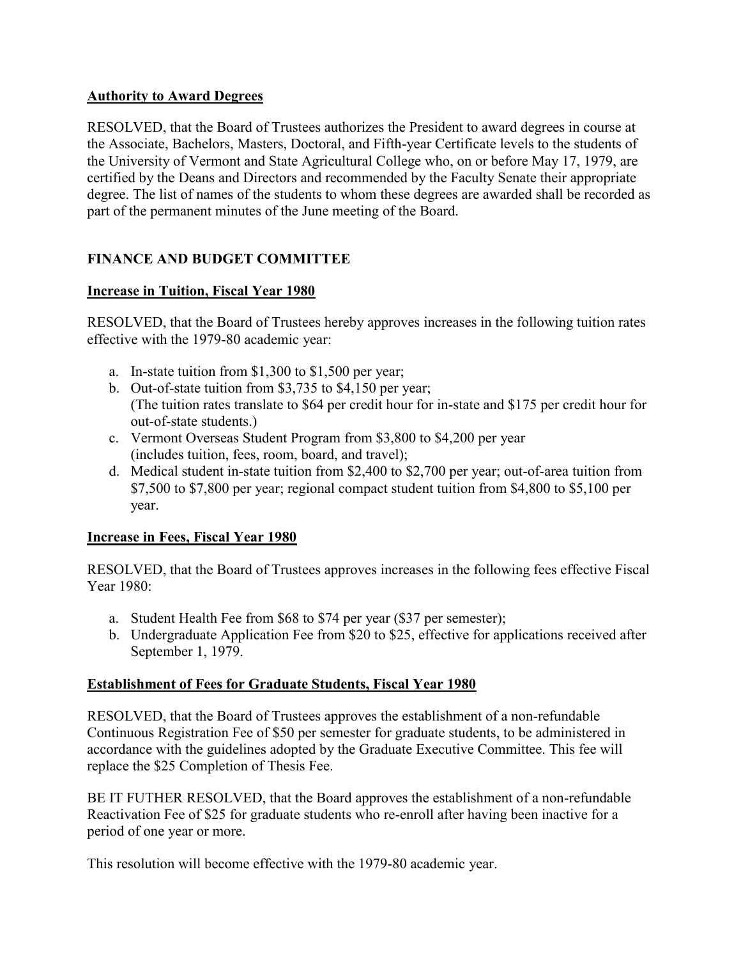## <span id="page-18-0"></span>**Authority to Award Degrees**

RESOLVED, that the Board of Trustees authorizes the President to award degrees in course at the Associate, Bachelors, Masters, Doctoral, and Fifth-year Certificate levels to the students of the University of Vermont and State Agricultural College who, on or before May 17, 1979, are certified by the Deans and Directors and recommended by the Faculty Senate their appropriate degree. The list of names of the students to whom these degrees are awarded shall be recorded as part of the permanent minutes of the June meeting of the Board.

# **FINANCE AND BUDGET COMMITTEE**

## **Increase in Tuition, Fiscal Year 1980**

RESOLVED, that the Board of Trustees hereby approves increases in the following tuition rates effective with the 1979-80 academic year:

- a. In-state tuition from \$1,300 to \$1,500 per year;
- b. Out-of-state tuition from \$3,735 to \$4,150 per year; (The tuition rates translate to \$64 per credit hour for in-state and \$175 per credit hour for out-of-state students.)
- c. Vermont Overseas Student Program from \$3,800 to \$4,200 per year (includes tuition, fees, room, board, and travel);
- d. Medical student in-state tuition from \$2,400 to \$2,700 per year; out-of-area tuition from \$7,500 to \$7,800 per year; regional compact student tuition from \$4,800 to \$5,100 per year.

# **Increase in Fees, Fiscal Year 1980**

RESOLVED, that the Board of Trustees approves increases in the following fees effective Fiscal Year 1980:

- a. Student Health Fee from \$68 to \$74 per year (\$37 per semester);
- b. Undergraduate Application Fee from \$20 to \$25, effective for applications received after September 1, 1979.

# **Establishment of Fees for Graduate Students, Fiscal Year 1980**

RESOLVED, that the Board of Trustees approves the establishment of a non-refundable Continuous Registration Fee of \$50 per semester for graduate students, to be administered in accordance with the guidelines adopted by the Graduate Executive Committee. This fee will replace the \$25 Completion of Thesis Fee.

BE IT FUTHER RESOLVED, that the Board approves the establishment of a non-refundable Reactivation Fee of \$25 for graduate students who re-enroll after having been inactive for a period of one year or more.

This resolution will become effective with the 1979-80 academic year.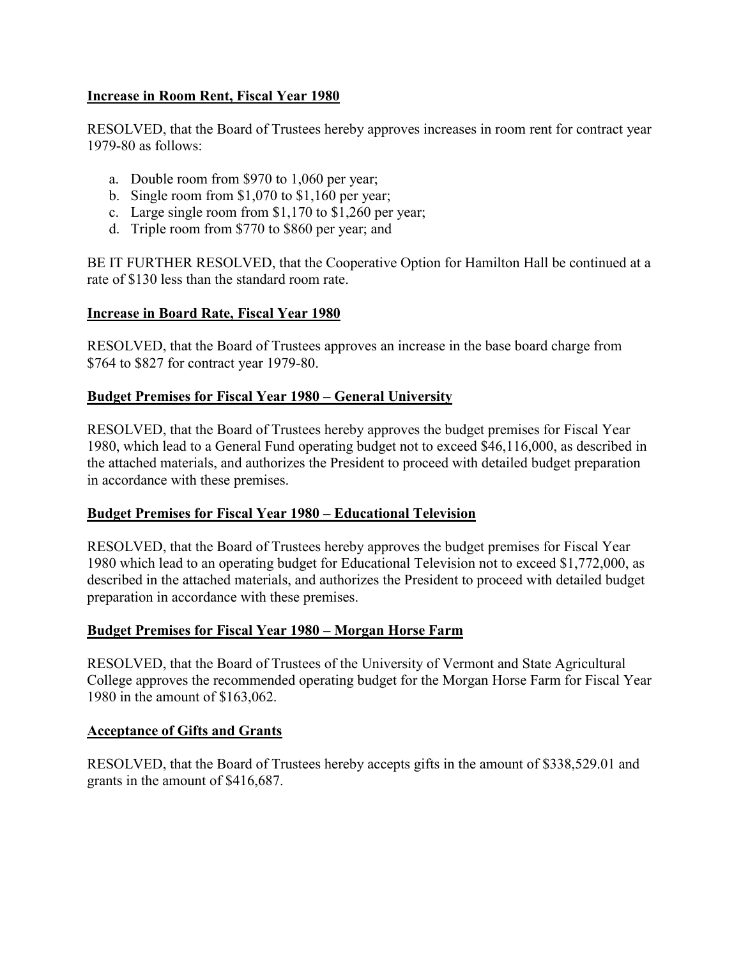## <span id="page-19-0"></span>**Increase in Room Rent, Fiscal Year 1980**

RESOLVED, that the Board of Trustees hereby approves increases in room rent for contract year 1979-80 as follows:

- a. Double room from \$970 to 1,060 per year;
- b. Single room from \$1,070 to \$1,160 per year;
- c. Large single room from \$1,170 to \$1,260 per year;
- d. Triple room from \$770 to \$860 per year; and

BE IT FURTHER RESOLVED, that the Cooperative Option for Hamilton Hall be continued at a rate of \$130 less than the standard room rate.

## **Increase in Board Rate, Fiscal Year 1980**

RESOLVED, that the Board of Trustees approves an increase in the base board charge from \$764 to \$827 for contract year 1979-80.

## **Budget Premises for Fiscal Year 1980 – General University**

RESOLVED, that the Board of Trustees hereby approves the budget premises for Fiscal Year 1980, which lead to a General Fund operating budget not to exceed \$46,116,000, as described in the attached materials, and authorizes the President to proceed with detailed budget preparation in accordance with these premises.

## **Budget Premises for Fiscal Year 1980 – Educational Television**

RESOLVED, that the Board of Trustees hereby approves the budget premises for Fiscal Year 1980 which lead to an operating budget for Educational Television not to exceed \$1,772,000, as described in the attached materials, and authorizes the President to proceed with detailed budget preparation in accordance with these premises.

## **Budget Premises for Fiscal Year 1980 – Morgan Horse Farm**

RESOLVED, that the Board of Trustees of the University of Vermont and State Agricultural College approves the recommended operating budget for the Morgan Horse Farm for Fiscal Year 1980 in the amount of \$163,062.

## **Acceptance of Gifts and Grants**

RESOLVED, that the Board of Trustees hereby accepts gifts in the amount of \$338,529.01 and grants in the amount of \$416,687.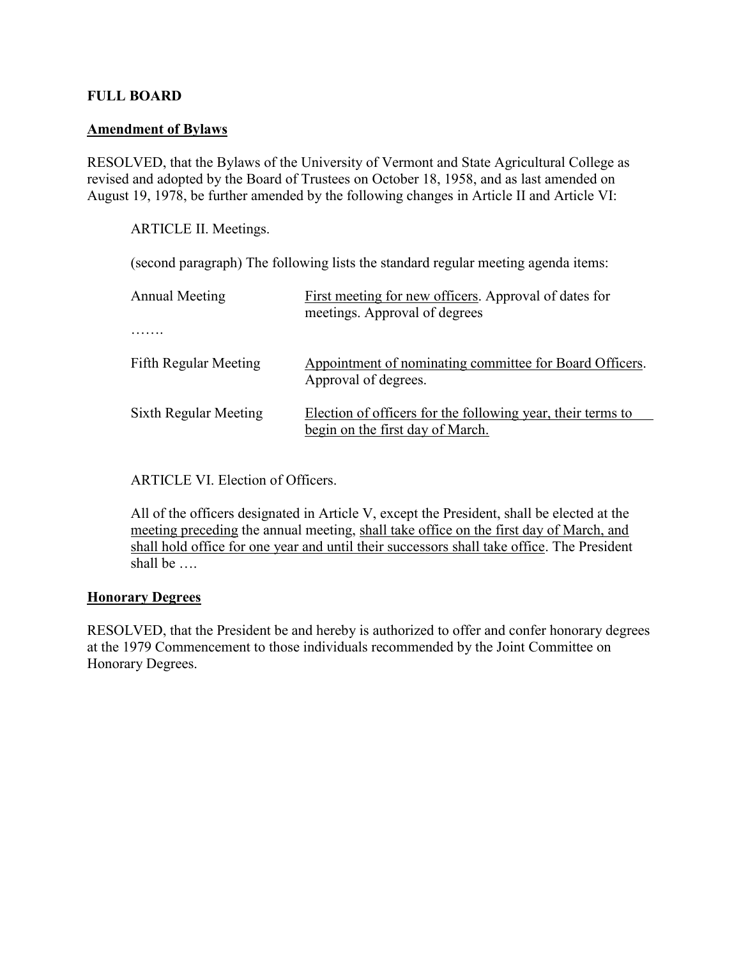## <span id="page-20-0"></span>**FULL BOARD**

#### **Amendment of Bylaws**

RESOLVED, that the Bylaws of the University of Vermont and State Agricultural College as revised and adopted by the Board of Trustees on October 18, 1958, and as last amended on August 19, 1978, be further amended by the following changes in Article II and Article VI:

ARTICLE II. Meetings.

(second paragraph) The following lists the standard regular meeting agenda items:

| <b>Annual Meeting</b>        | First meeting for new officers. Approval of dates for<br>meetings. Approval of degrees          |
|------------------------------|-------------------------------------------------------------------------------------------------|
|                              |                                                                                                 |
| <b>Fifth Regular Meeting</b> | Appointment of nominating committee for Board Officers.<br>Approval of degrees.                 |
| Sixth Regular Meeting        | Election of officers for the following year, their terms to<br>begin on the first day of March. |

#### ARTICLE VI. Election of Officers.

 All of the officers designated in Article V, except the President, shall be elected at the meeting preceding the annual meeting, shall take office on the first day of March, and shall hold office for one year and until their successors shall take office. The President shall be ….

#### **Honorary Degrees**

RESOLVED, that the President be and hereby is authorized to offer and confer honorary degrees at the 1979 Commencement to those individuals recommended by the Joint Committee on Honorary Degrees.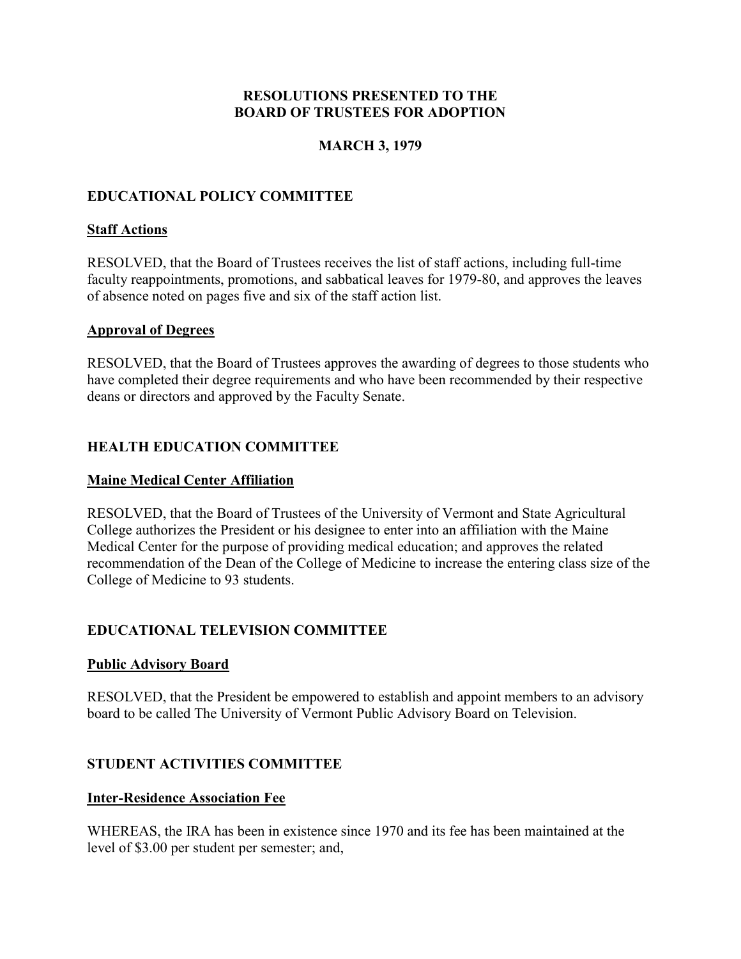#### **MARCH 3, 1979**

## <span id="page-21-0"></span>**EDUCATIONAL POLICY COMMITTEE**

#### **Staff Actions**

RESOLVED, that the Board of Trustees receives the list of staff actions, including full-time faculty reappointments, promotions, and sabbatical leaves for 1979-80, and approves the leaves of absence noted on pages five and six of the staff action list.

#### **Approval of Degrees**

RESOLVED, that the Board of Trustees approves the awarding of degrees to those students who have completed their degree requirements and who have been recommended by their respective deans or directors and approved by the Faculty Senate.

#### **HEALTH EDUCATION COMMITTEE**

#### **Maine Medical Center Affiliation**

RESOLVED, that the Board of Trustees of the University of Vermont and State Agricultural College authorizes the President or his designee to enter into an affiliation with the Maine Medical Center for the purpose of providing medical education; and approves the related recommendation of the Dean of the College of Medicine to increase the entering class size of the College of Medicine to 93 students.

#### **EDUCATIONAL TELEVISION COMMITTEE**

#### **Public Advisory Board**

RESOLVED, that the President be empowered to establish and appoint members to an advisory board to be called The University of Vermont Public Advisory Board on Television.

#### **STUDENT ACTIVITIES COMMITTEE**

#### **Inter-Residence Association Fee**

WHEREAS, the IRA has been in existence since 1970 and its fee has been maintained at the level of \$3.00 per student per semester; and,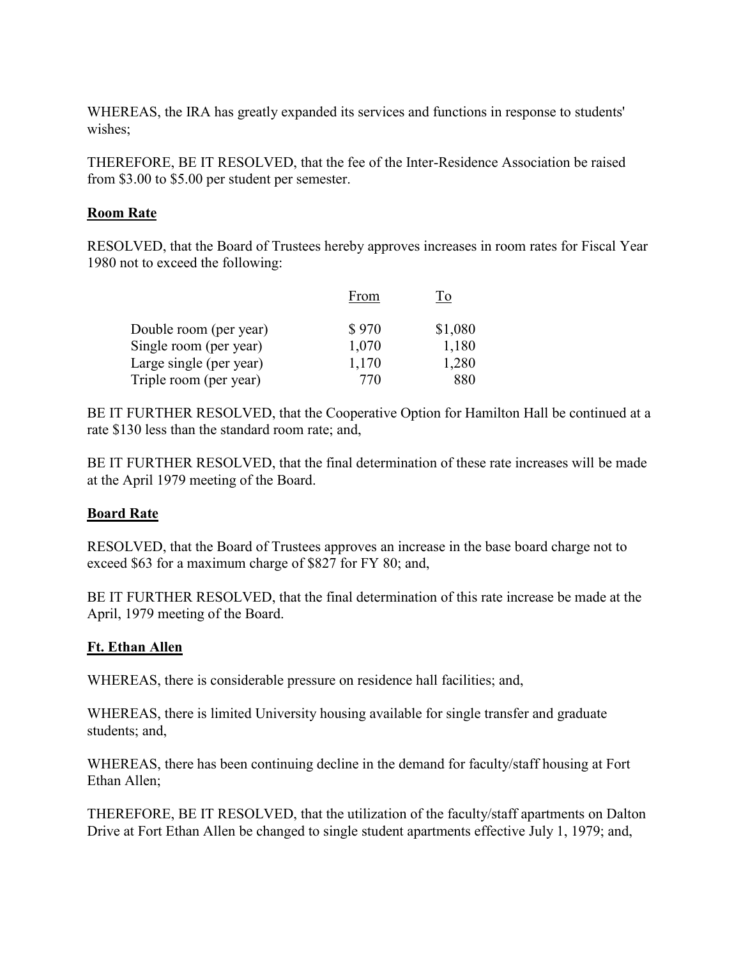<span id="page-22-0"></span>WHEREAS, the IRA has greatly expanded its services and functions in response to students' wishes;

THEREFORE, BE IT RESOLVED, that the fee of the Inter-Residence Association be raised from \$3.00 to \$5.00 per student per semester.

#### **Room Rate**

RESOLVED, that the Board of Trustees hereby approves increases in room rates for Fiscal Year 1980 not to exceed the following:

|                         | From  |         |
|-------------------------|-------|---------|
| Double room (per year)  | \$970 | \$1,080 |
| Single room (per year)  | 1,070 | 1,180   |
| Large single (per year) | 1,170 | 1,280   |
| Triple room (per year)  | 770   | 880     |

BE IT FURTHER RESOLVED, that the Cooperative Option for Hamilton Hall be continued at a rate \$130 less than the standard room rate; and,

BE IT FURTHER RESOLVED, that the final determination of these rate increases will be made at the April 1979 meeting of the Board.

## **Board Rate**

RESOLVED, that the Board of Trustees approves an increase in the base board charge not to exceed \$63 for a maximum charge of \$827 for FY 80; and,

BE IT FURTHER RESOLVED, that the final determination of this rate increase be made at the April, 1979 meeting of the Board.

## **Ft. Ethan Allen**

WHEREAS, there is considerable pressure on residence hall facilities; and,

WHEREAS, there is limited University housing available for single transfer and graduate students; and,

WHEREAS, there has been continuing decline in the demand for faculty/staff housing at Fort Ethan Allen;

THEREFORE, BE IT RESOLVED, that the utilization of the faculty/staff apartments on Dalton Drive at Fort Ethan Allen be changed to single student apartments effective July 1, 1979; and,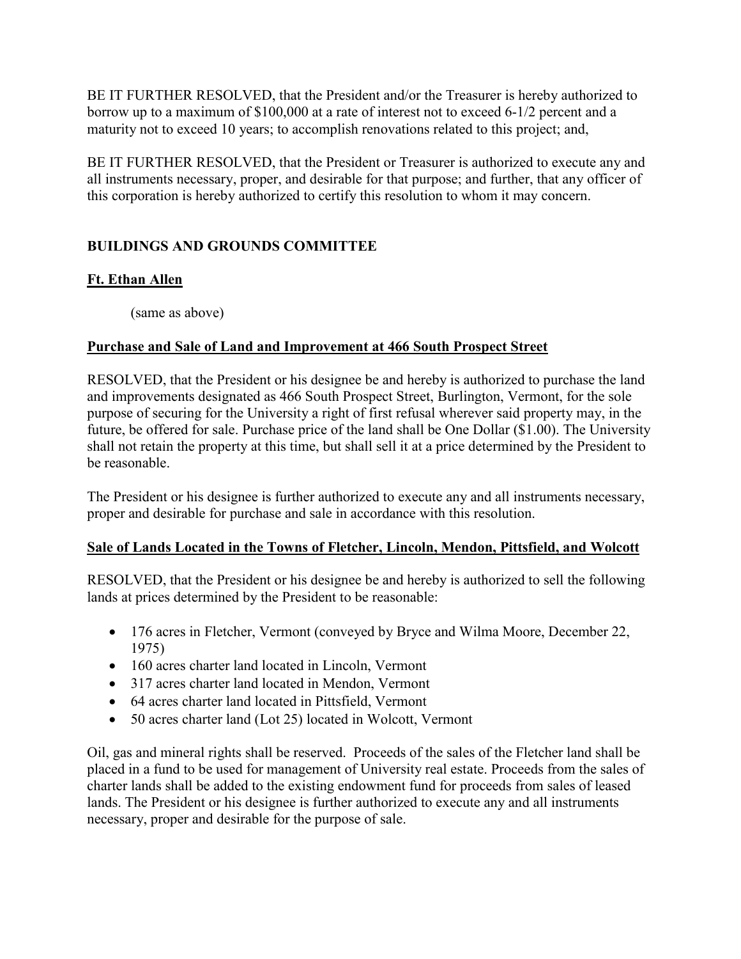<span id="page-23-0"></span>BE IT FURTHER RESOLVED, that the President and/or the Treasurer is hereby authorized to borrow up to a maximum of \$100,000 at a rate of interest not to exceed 6-1/2 percent and a maturity not to exceed 10 years; to accomplish renovations related to this project; and,

BE IT FURTHER RESOLVED, that the President or Treasurer is authorized to execute any and all instruments necessary, proper, and desirable for that purpose; and further, that any officer of this corporation is hereby authorized to certify this resolution to whom it may concern.

# **BUILDINGS AND GROUNDS COMMITTEE**

# **Ft. Ethan Allen**

(same as above)

# **Purchase and Sale of Land and Improvement at 466 South Prospect Street**

RESOLVED, that the President or his designee be and hereby is authorized to purchase the land and improvements designated as 466 South Prospect Street, Burlington, Vermont, for the sole purpose of securing for the University a right of first refusal wherever said property may, in the future, be offered for sale. Purchase price of the land shall be One Dollar (\$1.00). The University shall not retain the property at this time, but shall sell it at a price determined by the President to be reasonable.

The President or his designee is further authorized to execute any and all instruments necessary, proper and desirable for purchase and sale in accordance with this resolution.

## **Sale of Lands Located in the Towns of Fletcher, Lincoln, Mendon, Pittsfield, and Wolcott**

RESOLVED, that the President or his designee be and hereby is authorized to sell the following lands at prices determined by the President to be reasonable:

- 176 acres in Fletcher, Vermont (conveyed by Bryce and Wilma Moore, December 22, 1975)
- 160 acres charter land located in Lincoln, Vermont
- 317 acres charter land located in Mendon, Vermont
- 64 acres charter land located in Pittsfield, Vermont
- 50 acres charter land (Lot 25) located in Wolcott, Vermont

Oil, gas and mineral rights shall be reserved. Proceeds of the sales of the Fletcher land shall be placed in a fund to be used for management of University real estate. Proceeds from the sales of charter lands shall be added to the existing endowment fund for proceeds from sales of leased lands. The President or his designee is further authorized to execute any and all instruments necessary, proper and desirable for the purpose of sale.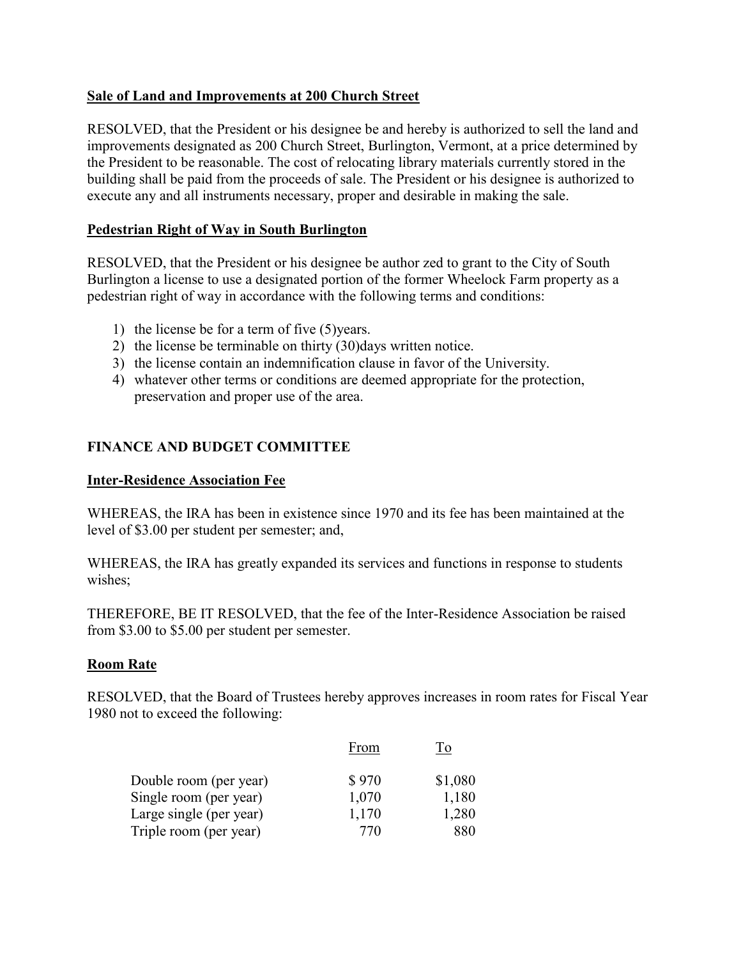## <span id="page-24-0"></span>**Sale of Land and Improvements at 200 Church Street**

RESOLVED, that the President or his designee be and hereby is authorized to sell the land and improvements designated as 200 Church Street, Burlington, Vermont, at a price determined by the President to be reasonable. The cost of relocating library materials currently stored in the building shall be paid from the proceeds of sale. The President or his designee is authorized to execute any and all instruments necessary, proper and desirable in making the sale.

## **Pedestrian Right of Way in South Burlington**

RESOLVED, that the President or his designee be author zed to grant to the City of South Burlington a license to use a designated portion of the former Wheelock Farm property as a pedestrian right of way in accordance with the following terms and conditions:

- 1) the license be for a term of five (5)years.
- 2) the license be terminable on thirty (30)days written notice.
- 3) the license contain an indemnification clause in favor of the University.
- 4) whatever other terms or conditions are deemed appropriate for the protection, preservation and proper use of the area.

## **FINANCE AND BUDGET COMMITTEE**

## **Inter-Residence Association Fee**

WHEREAS, the IRA has been in existence since 1970 and its fee has been maintained at the level of \$3.00 per student per semester; and,

WHEREAS, the IRA has greatly expanded its services and functions in response to students wishes;

THEREFORE, BE IT RESOLVED, that the fee of the Inter-Residence Association be raised from \$3.00 to \$5.00 per student per semester.

## **Room Rate**

RESOLVED, that the Board of Trustees hereby approves increases in room rates for Fiscal Year 1980 not to exceed the following:

|                         | From  |         |
|-------------------------|-------|---------|
| Double room (per year)  | \$970 | \$1,080 |
| Single room (per year)  | 1,070 | 1,180   |
| Large single (per year) | 1,170 | 1,280   |
| Triple room (per year)  | 770   | 880     |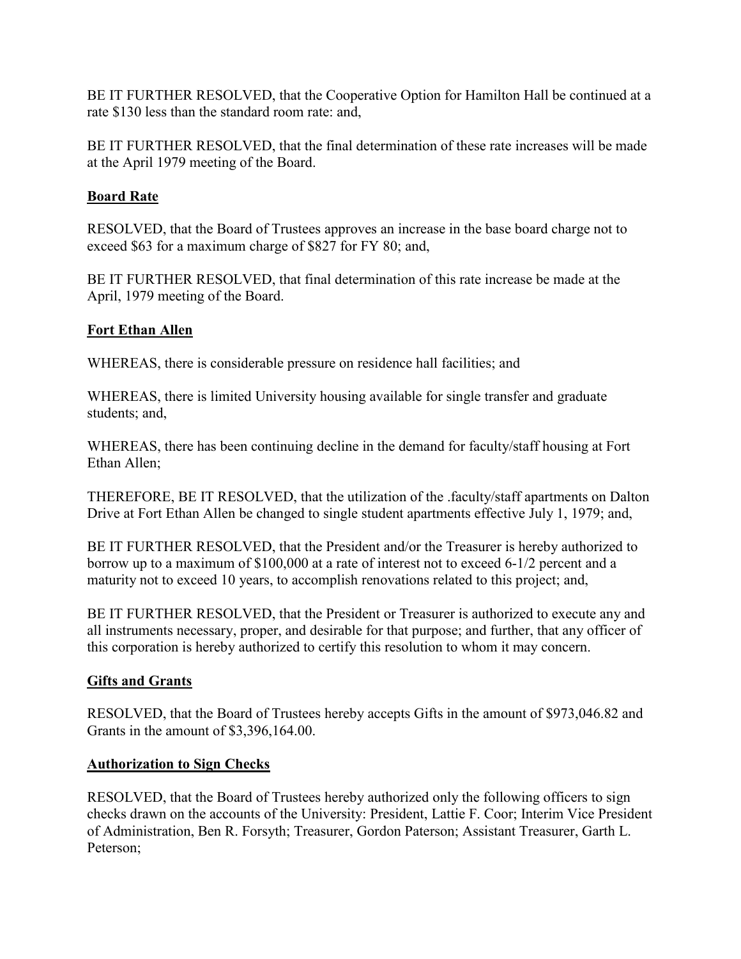<span id="page-25-0"></span>BE IT FURTHER RESOLVED, that the Cooperative Option for Hamilton Hall be continued at a rate \$130 less than the standard room rate: and,

BE IT FURTHER RESOLVED, that the final determination of these rate increases will be made at the April 1979 meeting of the Board.

# **Board Rate**

RESOLVED, that the Board of Trustees approves an increase in the base board charge not to exceed \$63 for a maximum charge of \$827 for FY 80; and,

BE IT FURTHER RESOLVED, that final determination of this rate increase be made at the April, 1979 meeting of the Board.

# **Fort Ethan Allen**

WHEREAS, there is considerable pressure on residence hall facilities; and

WHEREAS, there is limited University housing available for single transfer and graduate students; and,

WHEREAS, there has been continuing decline in the demand for faculty/staff housing at Fort Ethan Allen;

THEREFORE, BE IT RESOLVED, that the utilization of the .faculty/staff apartments on Dalton Drive at Fort Ethan Allen be changed to single student apartments effective July 1, 1979; and,

BE IT FURTHER RESOLVED, that the President and/or the Treasurer is hereby authorized to borrow up to a maximum of \$100,000 at a rate of interest not to exceed 6-1/2 percent and a maturity not to exceed 10 years, to accomplish renovations related to this project; and,

BE IT FURTHER RESOLVED, that the President or Treasurer is authorized to execute any and all instruments necessary, proper, and desirable for that purpose; and further, that any officer of this corporation is hereby authorized to certify this resolution to whom it may concern.

# **Gifts and Grants**

RESOLVED, that the Board of Trustees hereby accepts Gifts in the amount of \$973,046.82 and Grants in the amount of \$3,396,164.00.

# **Authorization to Sign Checks**

RESOLVED, that the Board of Trustees hereby authorized only the following officers to sign checks drawn on the accounts of the University: President, Lattie F. Coor; Interim Vice President of Administration, Ben R. Forsyth; Treasurer, Gordon Paterson; Assistant Treasurer, Garth L. Peterson;